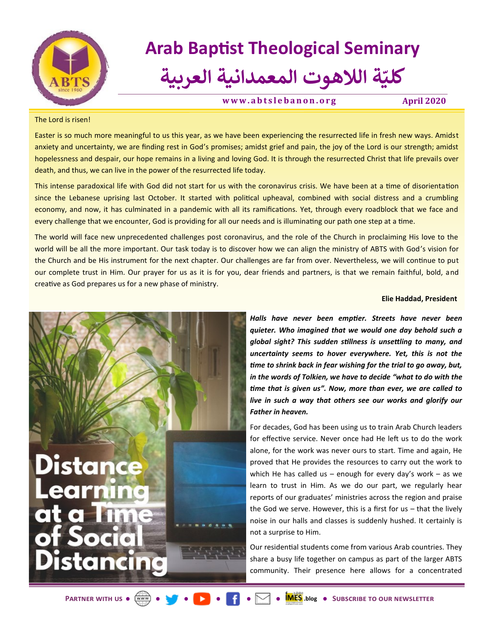

# **Arab Baptist Theological Seminary**

### **ة الالهوت المعمدانية العربية ّ كلي**

**[w w w . a b t s l e b a n o n . o r g](https://abtslebanon.org/) April 2020**

### The Lord is risen!

Easter is so much more meaningful to us this year, as we have been experiencing the resurrected life in fresh new ways. Amidst anxiety and uncertainty, we are finding rest in God's promises; amidst grief and pain, the joy of the Lord is our strength; amidst hopelessness and despair, our hope remains in a living and loving God. It is through the resurrected Christ that life prevails over death, and thus, we can live in the power of the resurrected life today.

This intense paradoxical life with God did not start for us with the coronavirus crisis. We have been at a time of disorientation since the Lebanese uprising last October. It started with political upheaval, combined with social distress and a crumbling economy, and now, it has culminated in a pandemic with all its ramifications. Yet, through every roadblock that we face and every challenge that we encounter, God is providing for all our needs and is illuminating our path one step at a time.

The world will face new unprecedented challenges post coronavirus, and the role of the Church in proclaiming His love to the world will be all the more important. Our task today is to discover how we can align the ministry of ABTS with God's vision for the Church and be His instrument for the next chapter. Our challenges are far from over. Nevertheless, we will continue to put our complete trust in Him. Our prayer for us as it is for you, dear friends and partners, is that we remain faithful, bold, and creative as God prepares us for a new phase of ministry.

### **Elie Haddad, President**



*Halls have never been emptier. Streets have never been quieter. Who imagined that we would one day behold such a global sight? This sudden stillness is unsettling to many, and uncertainty seems to hover everywhere. Yet, this is not the time to shrink back in fear wishing for the trial to go away, but, in the words of Tolkien, we have to decide "what to do with the time that is given us". Now, more than ever, we are called to live in such a way that others see our works and glorify our Father in heaven.*

For decades, God has been using us to train Arab Church leaders for effective service. Never once had He left us to do the work alone, for the work was never ours to start. Time and again, He proved that He provides the resources to carry out the work to which He has called us – enough for every day's work – as we learn to trust in Him. As we do our part, we regularly hear reports of our graduates' ministries across the region and praise the God we serve. However, this is a first for us – that the lively noise in our halls and classes is suddenly hushed. It certainly is not a surprise to Him.

Our residential students come from various Arab countries. They share a busy life together on campus as part of the larger ABTS community. Their presence here allows for a concentrated

**PARTNER WITH US • WARRANTER . [Subscribe to our newsletter](https://abtslebanon.org/newsletter-signup/)**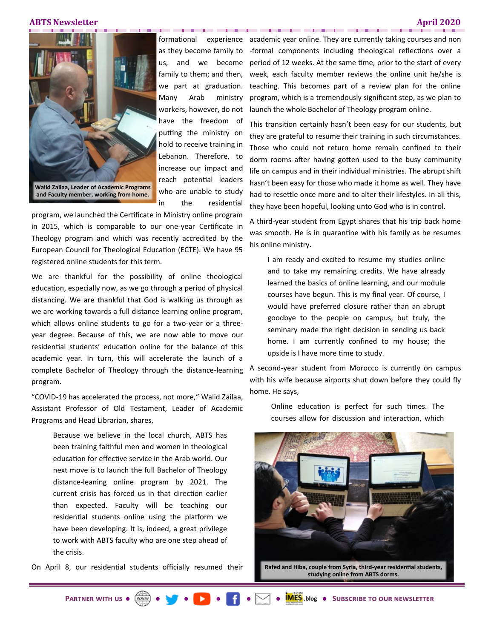### **ABTS Newsletter April 2020**



formational family to them; and then, we part at graduation. Many Arab ministry workers, however, do not have the freedom of putting the ministry on hold to receive training in Lebanon. Therefore, to increase our impact and reach potential leaders who are unable to study in the residential

. . . . . . . . . .

program, we launched the Certificate in Ministry online program in 2015, which is comparable to our one-year Certificate in Theology program and which was recently accredited by the European Council for Theological Education (ECTE). We have 95 registered online students for this term.

We are thankful for the possibility of online theological education, especially now, as we go through a period of physical distancing. We are thankful that God is walking us through as we are working towards a full distance learning online program, which allows online students to go for a two-year or a threeyear degree. Because of this, we are now able to move our residential students' education online for the balance of this academic year. In turn, this will accelerate the launch of a complete Bachelor of Theology through the distance-learning program.

"COVID-19 has accelerated the process, not more," Walid Zailaa, Assistant Professor of Old Testament, Leader of Academic Programs and Head Librarian, shares,

Because we believe in the local church, ABTS has been training faithful men and women in theological education for effective service in the Arab world. Our next move is to launch the full Bachelor of Theology distance-leaning online program by 2021. The current crisis has forced us in that direction earlier than expected. Faculty will be teaching our residential students online using the platform we have been developing. It is, indeed, a great privilege to work with ABTS faculty who are one step ahead of the crisis.

On April 8, our residential students officially resumed their

as they become family to -formal components including theological reflections over a us, and we become period of 12 weeks. At the same time, prior to the start of every experience academic year online. They are currently taking courses and non week, each faculty member reviews the online unit he/she is teaching. This becomes part of a review plan for the online program, which is a tremendously significant step, as we plan to launch the whole Bachelor of Theology program online.

. . . . .

This transition certainly hasn't been easy for our students, but they are grateful to resume their training in such circumstances. Those who could not return home remain confined to their dorm rooms after having gotten used to the busy community life on campus and in their individual ministries. The abrupt shift hasn't been easy for those who made it home as well. They have had to resettle once more and to alter their lifestyles. In all this, they have been hopeful, looking unto God who is in control.

A third-year student from Egypt shares that his trip back home was smooth. He is in quarantine with his family as he resumes his online ministry.

I am ready and excited to resume my studies online and to take my remaining credits. We have already learned the basics of online learning, and our module courses have begun. This is my final year. Of course, I would have preferred closure rather than an abrupt goodbye to the people on campus, but truly, the seminary made the right decision in sending us back home. I am currently confined to my house; the upside is I have more time to study.

A second-year student from Morocco is currently on campus with his wife because airports shut down before they could fly home. He says,

Online education is perfect for such times. The courses allow for discussion and interaction, which



**studying online from ABTS dorms.**

**[Partner with us](https://abtslebanon.org/partner-with-us/) [.blog](https://abtslebanon.org/imes-blog/) [Subscribe to our newsletter](https://abtslebanon.org/newsletter-signup/)**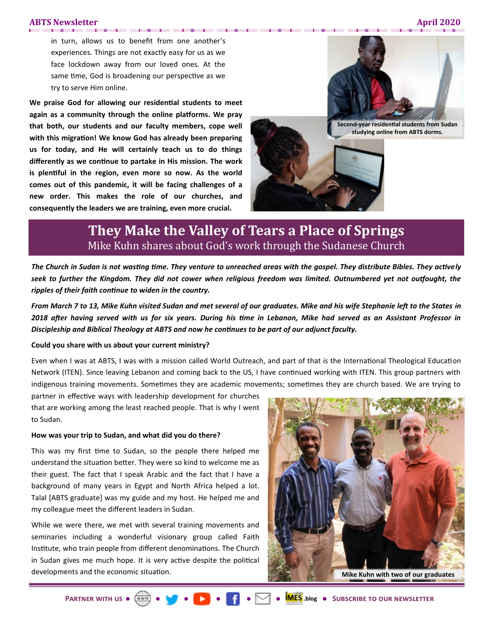### **ABTS Newsletter April 2020**

. . . . .

in turn, allows us to benefit from one another's experiences. Things are not exactly easy for us as we face lockdown away from our loved ones. At the same time, God is broadening our perspective as we try to serve Him online.

. . . .

**We praise God for allowing our residential students to meet again as a community through the online platforms. We pray that both, our students and our faculty members, cope well with this migration! We know God has already been preparing us for today, and He will certainly teach us to do things differently as we continue to partake in His mission. The work is plentiful in the region, even more so now. As the world comes out of this pandemic, it will be facing challenges of a new order. This makes the role of our churches, and consequently the leaders we are training, even more crucial.** 



**Second-year residential students from Sudan studying online from ABTS dorms.**

## **They Make the Valley of Tears a Place of Springs** Mike Kuhn shares about God's work through the Sudanese Church

. . . . . . . . . . . . . .

*The Church in Sudan is not wasting time. They venture to unreached areas with the gospel. They distribute Bibles. They actively seek to further the Kingdom. They did not cower when religious freedom was limited. Outnumbered yet not outfought, the ripples of their faith continue to widen in the country.* 

*From March 7 to 13, Mike Kuhn visited Sudan and met several of our graduates. Mike and his wife Stephanie left to the States in 2018 after having served with us for six years. During his time in Lebanon, Mike had served as an Assistant Professor in Discipleship and Biblical Theology at ABTS and now he continues to be part of our adjunct faculty.* 

### **Could you share with us about your current ministry?**

Even when I was at ABTS, I was with a mission called World Outreach, and part of that is the International Theological Education Network (ITEN). Since leaving Lebanon and coming back to the US, I have continued working with ITEN. This group partners with indigenous training movements. Sometimes they are academic movements; sometimes they are church based. We are trying to

partner in effective ways with leadership development for churches that are working among the least reached people. That is why I went to Sudan.

### **How was your trip to Sudan, and what did you do there?**

This was my first time to Sudan, so the people there helped me understand the situation better. They were so kind to welcome me as their guest. The fact that I speak Arabic and the fact that I have a background of many years in Egypt and North Africa helped a lot. Talal [ABTS graduate] was my guide and my host. He helped me and my colleague meet the different leaders in Sudan.

While we were there, we met with several training movements and seminaries including a wonderful visionary group called Faith Institute, who train people from different denominations. The Church in Sudan gives me much hope. It is very active despite the political developments and the economic situation.

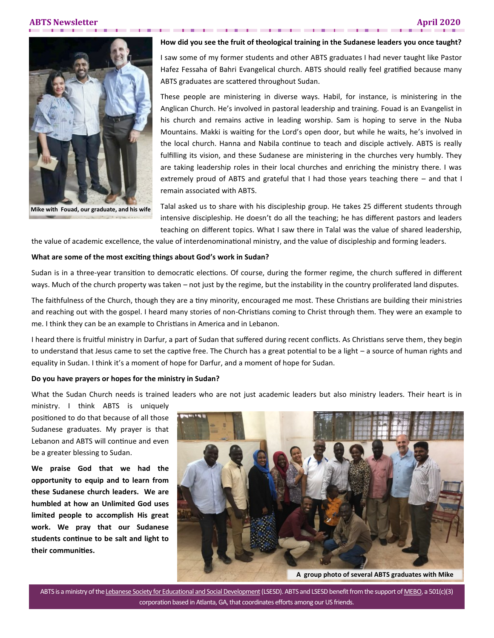. . . .



**Mike with Fouad, our graduate, and his wife**

### **How did you see the fruit of theological training in the Sudanese leaders you once taught?**

I saw some of my former students and other ABTS graduates I had never taught like Pastor Hafez Fessaha of Bahri Evangelical church. ABTS should really feel gratified because many ABTS graduates are scattered throughout Sudan.

These people are ministering in diverse ways. Habil, for instance, is ministering in the Anglican Church. He's involved in pastoral leadership and training. Fouad is an Evangelist in his church and remains active in leading worship. Sam is hoping to serve in the Nuba Mountains. Makki is waiting for the Lord's open door, but while he waits, he's involved in the local church. Hanna and Nabila continue to teach and disciple actively. ABTS is really fulfilling its vision, and these Sudanese are ministering in the churches very humbly. They are taking leadership roles in their local churches and enriching the ministry there. I was extremely proud of ABTS and grateful that I had those years teaching there – and that I remain associated with ABTS.

Talal asked us to share with his discipleship group. He takes 25 different students through intensive discipleship. He doesn't do all the teaching; he has different pastors and leaders teaching on different topics. What I saw there in Talal was the value of shared leadership,

the value of academic excellence, the value of interdenominational ministry, and the value of discipleship and forming leaders.

### **What are some of the most exciting things about God's work in Sudan?**

Sudan is in a three-year transition to democratic elections. Of course, during the former regime, the church suffered in different ways. Much of the church property was taken – not just by the regime, but the instability in the country proliferated land disputes.

The faithfulness of the Church, though they are a tiny minority, encouraged me most. These Christians are building their ministries and reaching out with the gospel. I heard many stories of non-Christians coming to Christ through them. They were an example to me. I think they can be an example to Christians in America and in Lebanon.

I heard there is fruitful ministry in Darfur, a part of Sudan that suffered during recent conflicts. As Christians serve them, they begin to understand that Jesus came to set the captive free. The Church has a great potential to be a light – a source of human rights and equality in Sudan. I think it's a moment of hope for Darfur, and a moment of hope for Sudan.

### **Do you have prayers or hopes for the ministry in Sudan?**

What the Sudan Church needs is trained leaders who are not just academic leaders but also ministry leaders. Their heart is in

ministry. I think ABTS is uniquely positioned to do that because of all those Sudanese graduates. My prayer is that Lebanon and ABTS will continue and even be a greater blessing to Sudan.

**We praise God that we had the opportunity to equip and to learn from these Sudanese church leaders. We are humbled at how an Unlimited God uses limited people to accomplish His great work. We pray that our Sudanese students continue to be salt and light to their communities.** 



ABTS is a ministry of the [Lebanese Society for Educational and Social Development](http://www.lsesd.org) (LSESD). ABTS and LSESD benefit from the support of [MEBO,](http://www.mebo.org) a 501(c)(3) corporation based in Atlanta, GA, that coordinates efforts among our US friends.